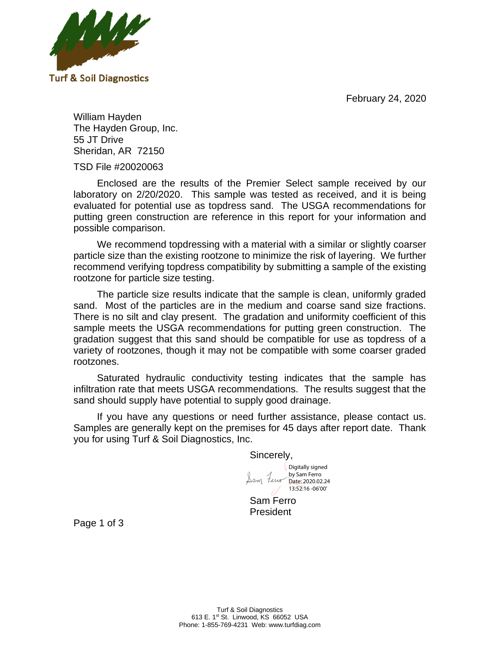February 24, 2020



William Hayden The Hayden Group, Inc. 55 JT Drive Sheridan, AR 72150

TSD File #20020063

Enclosed are the results of the Premier Select sample received by our laboratory on 2/20/2020. This sample was tested as received, and it is being evaluated for potential use as topdress sand. The USGA recommendations for putting green construction are reference in this report for your information and possible comparison.

We recommend topdressing with a material with a similar or slightly coarser particle size than the existing rootzone to minimize the risk of layering. We further **Sand Silt Lab ID# Sample Name Clay** recommend verifying topdress compatibility by submitting a sample of the existing rootzone for particle size testing. 43261-2 Rootzone Divot Mix 97.4 1.2 < 1.0 0.0 0.4 1.9 14.7 42.1 24.3 14.2

The particle size results indicate that the sample is clean, uniformly graded sand. Most of the particles are in the medium and coarse sand size fractions. There is no silt and clay present. The gradation and uniformity coefficient of this sample meets the USGA recommendations for putting green construction. The gradation suggest that this sand should be compatible for use as topdress of a variety of rootzones, though it may not be compatible with some coarser graded<br>**rootzones** rootzones. Invoice  $\mathcal{S}$  and  $\mathcal{S}$  and  $\mathcal{S}$  are  $\mathcal{S}$  and  $\mathcal{S}$  are  $\mathcal{S}$  and  $\mathcal{S}$  are  $\mathcal{S}$  and  $\mathcal{S}$  are  $\mathcal{S}$  and  $\mathcal{S}$  are  $\mathcal{S}$  and  $\mathcal{S}$  are  $\mathcal{S}$  and  $\mathcal{S}$  are  $\mathcal{S}$  and  $\mathcal{S}$  are **Shape pH<sup>1</sup>**

Saturated hydraulic conductivity testing indicates that the sample has infiltration rate that meets USGA recommendations. The results suggest that the sand should supply have potential to supply good drainage.

If you have any questions or need further assistance, please contact us. Samples are generally kept on the premises for 45 days after report date. Thank you for using Turf & Soil Diagnostics, Inc.  $\overline{\phantom{a}}$  is of the comments assistance, please comact us.

> Sincerely, by Sam Ferro Date: 2020.02.24<br>13:52:16 -06'00' Digitally signed Date: 2020.02.24

Sam Ferro President

Page 1 of 3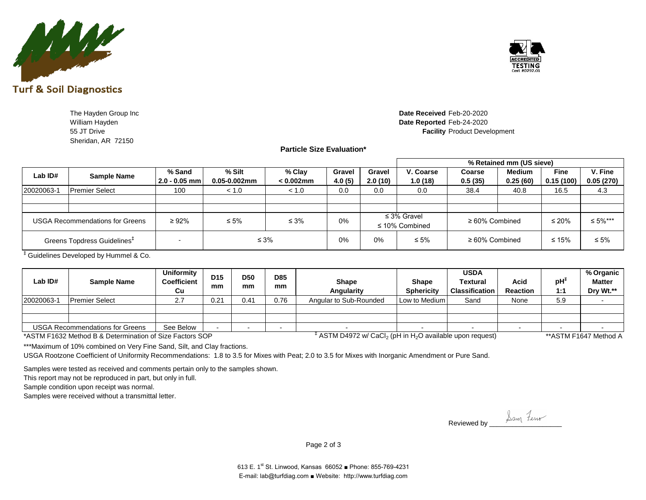

TESTING Cert #0797.0

**The Hayden Group Inc William Hayden** Sheridan, AR 72150

## 55 JT Drive **Facility** Product Development Date Received Feb-20-2020 Date Reported Feb-24-2020

**Particle Size Evaluation\***

|            |                                         |                  |              |              |                |         |                                         |                | % Retained mm (US sieve) |             |            |
|------------|-----------------------------------------|------------------|--------------|--------------|----------------|---------|-----------------------------------------|----------------|--------------------------|-------------|------------|
| Lab ID#    | <b>Sample Name</b>                      | % Sand           | % Silt       | % Clay       | Gravel         | Gravel  | V. Coarse                               | Coarse         | Medium                   | <b>Fine</b> | V. Fine    |
|            |                                         | $ 2.0 - 0.05$ mm | 0.05-0.002mm | $< 0.002$ mm | 4.0(5)         | 2.0(10) | 1.0(18)                                 | 0.5(35)        | 0.25(60)                 | 0.15(100)   | 0.05(270)  |
| 20020063-1 | <b>Premier Select</b>                   | 100              | < 1.0        | < 1.0        | 0.0            | 0.0     | 0.0                                     | 38.4           | 40.8                     | 16.5        |            |
|            |                                         |                  |              |              |                |         |                                         |                |                          |             |            |
|            |                                         |                  |              |              |                |         |                                         |                |                          |             |            |
|            | <b>USGA Recommendations for Greens</b>  | $\geq 92\%$      | $\leq 5\%$   | $\leq 3\%$   | 0 <sup>0</sup> |         | $\leq$ 3% Gravel<br>$\leq$ 10% Combined | ≥ 60% Combined |                          | $\leq 20\%$ | ≤ 5%***    |
|            | Greens Topdress Guidelines <sup>#</sup> |                  |              | $\leq 3\%$   | 0%             | $0\%$   | $\leq 5\%$                              | ≥ 60% Combined |                          | $\leq 15\%$ | $\leq 5\%$ |

‡ Guidelines Developed by Hummel & Co.

| Lab ID#    | <b>Sample Name</b>                                       | Uniformity<br><b>Coefficient</b><br>Cυ | D <sub>15</sub><br>mm | <b>D50</b><br>mm | <b>D85</b><br>mm | Shape<br>Angularity                                                                          | <b>Shape</b><br><b>Sphericity</b> | <b>USDA</b><br>Textural<br><b>Classification</b> | Acid<br><b>Reaction</b> | — nH' | % Organic<br><b>Matter</b><br>Dry Wt.** |
|------------|----------------------------------------------------------|----------------------------------------|-----------------------|------------------|------------------|----------------------------------------------------------------------------------------------|-----------------------------------|--------------------------------------------------|-------------------------|-------|-----------------------------------------|
| 20020063-1 | <b>Premier Select</b>                                    | <u>.</u>                               | 0.21                  | $0.4^{\circ}$    | 0.76             | Angular to Sub-Rounded                                                                       | Low to Medium                     | Sand                                             | None                    | ◡.◡   |                                         |
|            |                                                          |                                        |                       |                  |                  |                                                                                              |                                   |                                                  |                         |       |                                         |
|            |                                                          |                                        |                       |                  |                  |                                                                                              |                                   |                                                  |                         |       |                                         |
|            | <b>USGA Recommendations for Greens</b>                   | See Below                              |                       |                  |                  |                                                                                              |                                   |                                                  |                         |       |                                         |
|            | *ASTM F1632 Method B & Determination of Size Factors SOP |                                        |                       |                  |                  | <sup>#</sup> ASTM D4972 w/ CaCl <sub>2</sub> (pH in H <sub>2</sub> O available upon request) |                                   |                                                  |                         |       | **ASTM F1647 Method A                   |

Phone # 1-855-769-4231

on request) **Example 3** \*\* ASTM F1647 Method A

\*\*\*Maximum of 10% combined on Very Fine Sand, Silt, and Clay fractions.

USGA Rootzone Coefficient of Uniformity Recommendations: 1.8 to 3.5 for Mixes with Peat; 2.0 to 3.5 for Mixes with Inorganic Amendment or Pure Sand.  $\mathcal{N}=\mathcal{N}=\mathcal{N}=\mathcal{N}=\mathcal{N}=\mathcal{N}=\mathcal{N}=\mathcal{N}=\mathcal{N}=\mathcal{N}=\mathcal{N}=\mathcal{N}=\mathcal{N}=\mathcal{N}=\mathcal{N}=\mathcal{N}=\mathcal{N}=\mathcal{N}=\mathcal{N}=\mathcal{N}=\mathcal{N}=\mathcal{N}=\mathcal{N}=\mathcal{N}=\mathcal{N}=\mathcal{N}=\mathcal{N}=\mathcal{N}=\mathcal{N}=\mathcal{N}=\mathcal{N}=\mathcal{N}=\mathcal{N}=\mathcal{N}=\mathcal{N}=\mathcal{N}=\mathcal{$  $S$ amples were tested as received as received as  $S$  received and comments  $S$  shown.

Samples were tested as received and comments pertain only to the samples shown.

This report may not be reproduced in part, but only in full.

Sample condition upon receipt was normal.

Samples were received without a transmittal letter.

Reviewed by \_\_\_\_\_\_\_\_\_\_\_\_\_\_\_\_\_\_\_

Page 2 of 3